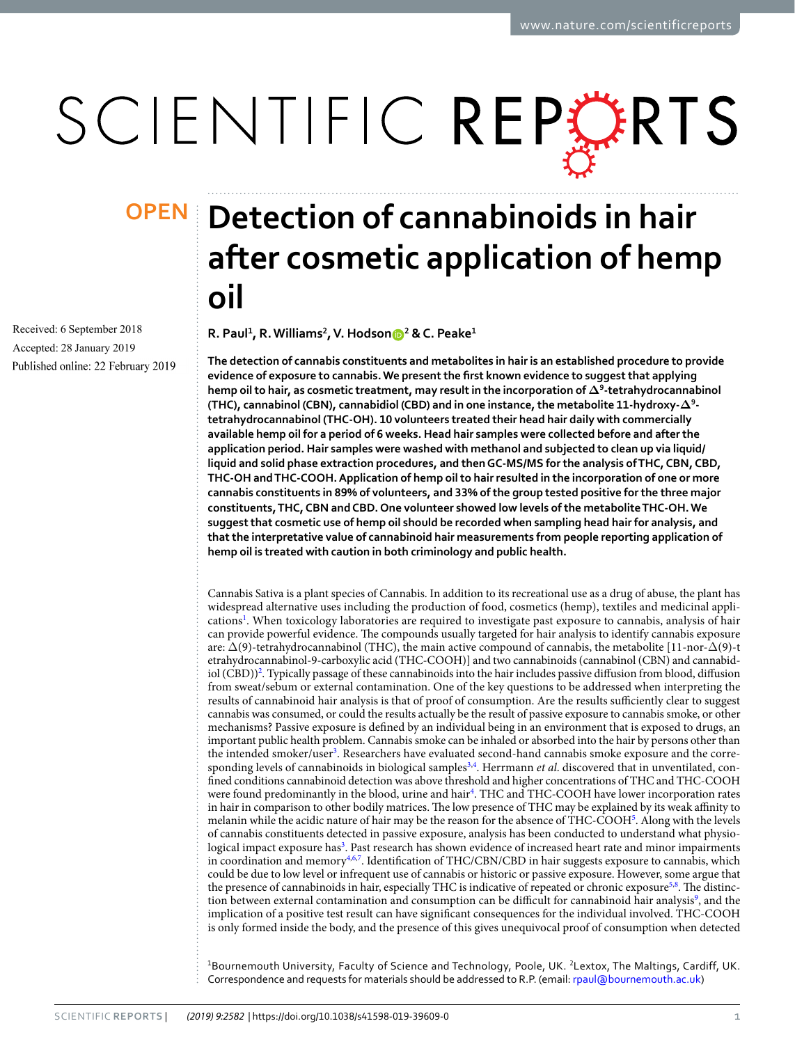# SCIENTIFIC REPERTS

Received: 6 September 2018 Accepted: 28 January 2019 Published online: 22 February 2019

## **Detection of cannabinoids in hair OPENafter cosmetic application of hemp oil**

**R. Paul<sup>1</sup>, R.Williams<sup>2</sup>, V. Hodson <sup>2</sup> & C. Peake<sup>1</sup>**

**The detection of cannabis constituents and metabolites in hair is an established procedure to provide evidence of exposure to cannabis. We present the frst known evidence to suggest that applying hemp oil to hair, as cosmetic treatment, may result in the incorporation of Δ9-tetrahydrocannabinol (THC), cannabinol (CBN), cannabidiol (CBD) and in one instance, the metabolite 11-hydroxy-Δ<sup>9</sup> tetrahydrocannabinol (THC-OH). 10 volunteers treated their head hair daily with commercially available hemp oil for a period of 6 weeks. Head hair samples were collected before and after the application period. Hair samples were washed with methanol and subjected to clean up via liquid/ liquid and solid phase extraction procedures, and then GC-MS/MS for the analysis of THC, CBN, CBD, THC-OH and THC-COOH. Application of hemp oil to hair resulted in the incorporation of one or more cannabis constituents in 89% of volunteers, and 33% of the group tested positive for the three major constituents, THC, CBN and CBD. One volunteer showed low levels of the metabolite THC-OH. We suggest that cosmetic use of hemp oil should be recorded when sampling head hair for analysis, and that the interpretative value of cannabinoid hair measurements from people reporting application of hemp oil is treated with caution in both criminology and public health.**

Cannabis Sativa is a plant species of Cannabis. In addition to its recreational use as a drug of abuse, the plant has widespread alternative uses including the production of food, cosmetics (hemp), textiles and medicinal appli-cations<sup>[1](#page-4-0)</sup>. When toxicology laboratories are required to investigate past exposure to cannabis, analysis of hair can provide powerful evidence. The compounds usually targeted for hair analysis to identify cannabis exposure are:  $\Delta(9)$ -tetrahydrocannabinol (THC), the main active compound of cannabis, the metabolite [11-nor- $\Delta(9)$ -t etrahydrocannabinol-9-carboxylic acid (THC-COOH)] and two cannabinoids (cannabinol (CBN) and cannabid-iol (CBD))<sup>[2](#page-4-1)</sup>. Typically passage of these cannabinoids into the hair includes passive diffusion from blood, diffusion from sweat/sebum or external contamination. One of the key questions to be addressed when interpreting the results of cannabinoid hair analysis is that of proof of consumption. Are the results sufficiently clear to suggest cannabis was consumed, or could the results actually be the result of passive exposure to cannabis smoke, or other mechanisms? Passive exposure is defned by an individual being in an environment that is exposed to drugs, an important public health problem. Cannabis smoke can be inhaled or absorbed into the hair by persons other than the intended smoker/user<sup>[3](#page-5-0)</sup>. Researchers have evaluated second-hand cannabis smoke exposure and the corre-sponding levels of cannabinoids in biological samples<sup>[3](#page-5-0)[,4](#page-5-1)</sup>. Herrmann *et al*. discovered that in unventilated, confned conditions cannabinoid detection was above threshold and higher concentrations of THC and THC-COOH were found predominantly in the blood, urine and hair<sup>4</sup>. THC and THC-COOH have lower incorporation rates in hair in comparison to other bodily matrices. The low presence of THC may be explained by its weak affinity to melanin while the acidic nature of hair may be the reason for the absence of THC-COO[H5](#page-5-2) . Along with the levels of cannabis constituents detected in passive exposure, analysis has been conducted to understand what physio-logical impact exposure has<sup>[3](#page-5-0)</sup>. Past research has shown evidence of increased heart rate and minor impairments in coordination and memory<sup>[4](#page-5-1),[6,](#page-5-3)[7](#page-5-4)</sup>. Identification of THC/CBN/CBD in hair suggests exposure to cannabis, which could be due to low level or infrequent use of cannabis or historic or passive exposure. However, some argue that the presence of cannabinoids in hair, especially THC is indicative of repeated or chronic exposure<sup>5[,8](#page-5-5)</sup>. The distinction between external contamination and consumption can be difficult for cannabinoid hair analysis<sup>9</sup>, and the implication of a positive test result can have signifcant consequences for the individual involved. THC-COOH is only formed inside the body, and the presence of this gives unequivocal proof of consumption when detected

<sup>1</sup>Bournemouth University, Faculty of Science and Technology, Poole, UK. <sup>2</sup>Lextox, The Maltings, Cardiff, UK. Correspondence and requests for materials should be addressed to R.P. (email: [rpaul@bournemouth.ac.uk](mailto:rpaul@bournemouth.ac.uk))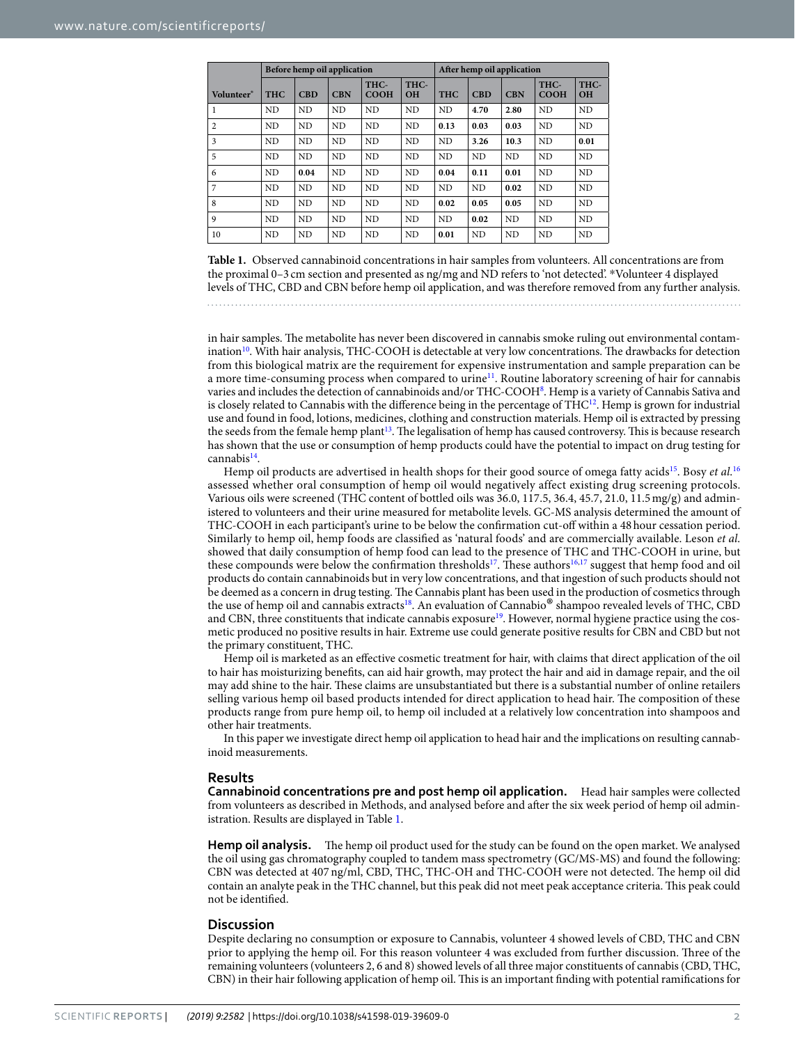<span id="page-1-0"></span>

|                | Before hemp oil application |                |                |                     | After hemp oil application |                |            |            |                     |                   |
|----------------|-----------------------------|----------------|----------------|---------------------|----------------------------|----------------|------------|------------|---------------------|-------------------|
| Volunteer*     | <b>THC</b>                  | <b>CBD</b>     | <b>CBN</b>     | THC-<br><b>COOH</b> | THC-<br><b>OH</b>          | <b>THC</b>     | <b>CBD</b> | <b>CBN</b> | THC-<br><b>COOH</b> | THC-<br><b>OH</b> |
| 1              | ND                          | N <sub>D</sub> | <b>ND</b>      | <b>ND</b>           | <b>ND</b>                  | N <sub>D</sub> | 4.70       | 2.80       | <b>ND</b>           | N <sub>D</sub>    |
| $\overline{2}$ | ND                          | ND             | <b>ND</b>      | <b>ND</b>           | <b>ND</b>                  | 0.13           | 0.03       | 0.03       | ND                  | <b>ND</b>         |
| 3              | ND                          | ND             | N <sub>D</sub> | <b>ND</b>           | <b>ND</b>                  | ND             | 3.26       | 10.3       | ND                  | 0.01              |
| 5              | N <sub>D</sub>              | N <sub>D</sub> | <b>ND</b>      | <b>ND</b>           | N <sub>D</sub>             | N <sub>D</sub> | <b>ND</b>  | <b>ND</b>  | N <sub>D</sub>      | N <sub>D</sub>    |
| 6              | ND                          | 0.04           | <b>ND</b>      | <b>ND</b>           | ND                         | 0.04           | 0.11       | 0.01       | ND                  | ND                |
| 7              | ND                          | <b>ND</b>      | <b>ND</b>      | <b>ND</b>           | <b>ND</b>                  | ND             | <b>ND</b>  | 0.02       | <b>ND</b>           | ND                |
| 8              | ND                          | <b>ND</b>      | <b>ND</b>      | <b>ND</b>           | <b>ND</b>                  | 0.02           | 0.05       | 0.05       | <b>ND</b>           | N <sub>D</sub>    |
| 9              | <b>ND</b>                   | <b>ND</b>      | ND             | <b>ND</b>           | <b>ND</b>                  | ND             | 0.02       | ND         | <b>ND</b>           | ND                |
| 10             | ND                          | <b>ND</b>      | ND             | <b>ND</b>           | <b>ND</b>                  | 0.01           | <b>ND</b>  | <b>ND</b>  | <b>ND</b>           | ND                |

**Table 1.** Observed cannabinoid concentrations in hair samples from volunteers. All concentrations are from the proximal 0–3 cm section and presented as ng/mg and ND refers to 'not detected'. \*Volunteer 4 displayed levels of THC, CBD and CBN before hemp oil application, and was therefore removed from any further analysis.

in hair samples. The metabolite has never been discovered in cannabis smoke ruling out environmental contamination<sup>10</sup>. With hair analysis, THC-COOH is detectable at very low concentrations. The drawbacks for detection from this biological matrix are the requirement for expensive instrumentation and sample preparation can be a more time-consuming process when compared to urine[11.](#page-5-8) Routine laboratory screening of hair for cannabis varies and includes the detection of cannabinoids and/or THC-COOH<sup>[8](#page-5-5)</sup>. Hemp is a variety of Cannabis Sativa and is closely related to Cannabis with the difference being in the percentage of  $THC<sup>12</sup>$ . Hemp is grown for industrial use and found in food, lotions, medicines, clothing and construction materials. Hemp oil is extracted by pressing the seeds from the female hemp plant<sup>13</sup>. The legalisation of hemp has caused controversy. This is because research has shown that the use or consumption of hemp products could have the potential to impact on drug testing for cannabis<sup>14</sup>.

Hemp oil products are advertised in health shops for their good source of omega fatty acids<sup>[15](#page-5-12)</sup>. Bosy *et al.*<sup>[16](#page-5-13)</sup> assessed whether oral consumption of hemp oil would negatively affect existing drug screening protocols. Various oils were screened (THC content of bottled oils was 36.0, 117.5, 36.4, 45.7, 21.0, 11.5mg/g) and administered to volunteers and their urine measured for metabolite levels. GC-MS analysis determined the amount of THC-COOH in each participant's urine to be below the confrmation cut-of within a 48hour cessation period. Similarly to hemp oil, hemp foods are classifed as 'natural foods' and are commercially available. Leson *et al*. showed that daily consumption of hemp food can lead to the presence of THC and THC-COOH in urine, but these compounds were below the confirmation thresholds<sup>17</sup>. These authors<sup>16[,17](#page-5-14)</sup> suggest that hemp food and oil products do contain cannabinoids but in very low concentrations, and that ingestion of such products should not be deemed as a concern in drug testing. The Cannabis plant has been used in the production of cosmetics through the use of hemp oil and cannabis extracts[18.](#page-5-15) An evaluation of Cannabio® shampoo revealed levels of THC, CBD and CBN, three constituents that indicate cannabis exposure<sup>19</sup>. However, normal hygiene practice using the cosmetic produced no positive results in hair. Extreme use could generate positive results for CBN and CBD but not the primary constituent, THC.

Hemp oil is marketed as an efective cosmetic treatment for hair, with claims that direct application of the oil to hair has moisturizing benefts, can aid hair growth, may protect the hair and aid in damage repair, and the oil may add shine to the hair. These claims are unsubstantiated but there is a substantial number of online retailers selling various hemp oil based products intended for direct application to head hair. The composition of these products range from pure hemp oil, to hemp oil included at a relatively low concentration into shampoos and other hair treatments.

In this paper we investigate direct hemp oil application to head hair and the implications on resulting cannabinoid measurements.

#### **Results**

**Cannabinoid concentrations pre and post hemp oil application.** Head hair samples were collected from volunteers as described in Methods, and analysed before and afer the six week period of hemp oil administration. Results are displayed in Table [1](#page-1-0).

**Hemp oil analysis.** The hemp oil product used for the study can be found on the open market. We analysed the oil using gas chromatography coupled to tandem mass spectrometry (GC/MS-MS) and found the following: CBN was detected at 407 ng/ml, CBD, THC, THC-OH and THC-COOH were not detected. The hemp oil did contain an analyte peak in the THC channel, but this peak did not meet peak acceptance criteria. Tis peak could not be identifed.

#### **Discussion**

Despite declaring no consumption or exposure to Cannabis, volunteer 4 showed levels of CBD, THC and CBN prior to applying the hemp oil. For this reason volunteer 4 was excluded from further discussion. Three of the remaining volunteers (volunteers 2, 6 and 8) showed levels of all three major constituents of cannabis (CBD, THC, CBN) in their hair following application of hemp oil. Tis is an important fnding with potential ramifcations for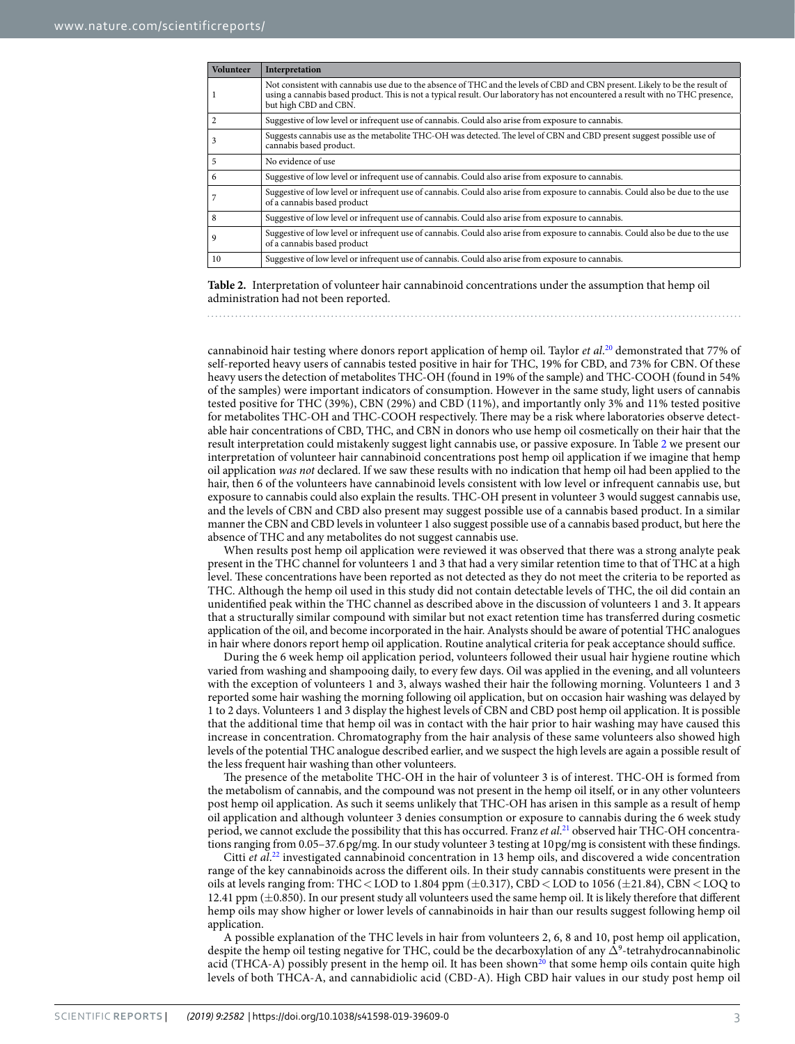<span id="page-2-0"></span>

| <b>Volunteer</b> | Interpretation                                                                                                                                                                                                                                                                           |
|------------------|------------------------------------------------------------------------------------------------------------------------------------------------------------------------------------------------------------------------------------------------------------------------------------------|
|                  | Not consistent with cannabis use due to the absence of THC and the levels of CBD and CBN present. Likely to be the result of<br>using a cannabis based product. This is not a typical result. Our laboratory has not encountered a result with no THC presence,<br>but high CBD and CBN. |
|                  | Suggestive of low level or infrequent use of cannabis. Could also arise from exposure to cannabis.                                                                                                                                                                                       |
|                  | Suggests cannabis use as the metabolite THC-OH was detected. The level of CBN and CBD present suggest possible use of<br>cannabis based product.                                                                                                                                         |
| 5                | No evidence of use                                                                                                                                                                                                                                                                       |
| 6                | Suggestive of low level or infrequent use of cannabis. Could also arise from exposure to cannabis.                                                                                                                                                                                       |
|                  | Suggestive of low level or infrequent use of cannabis. Could also arise from exposure to cannabis. Could also be due to the use<br>of a cannabis based product                                                                                                                           |
| 8                | Suggestive of low level or infrequent use of cannabis. Could also arise from exposure to cannabis.                                                                                                                                                                                       |
| 9                | Suggestive of low level or infrequent use of cannabis. Could also arise from exposure to cannabis. Could also be due to the use<br>of a cannabis based product                                                                                                                           |
| 10               | Suggestive of low level or infrequent use of cannabis. Could also arise from exposure to cannabis.                                                                                                                                                                                       |

**Table 2.** Interpretation of volunteer hair cannabinoid concentrations under the assumption that hemp oil administration had not been reported.

cannabinoid hair testing where donors report application of hemp oil. Taylor *et al*. [20](#page-5-17) demonstrated that 77% of self-reported heavy users of cannabis tested positive in hair for THC, 19% for CBD, and 73% for CBN. Of these heavy users the detection of metabolites THC-OH (found in 19% of the sample) and THC-COOH (found in 54% of the samples) were important indicators of consumption. However in the same study, light users of cannabis tested positive for THC (39%), CBN (29%) and CBD (11%), and importantly only 3% and 11% tested positive for metabolites THC-OH and THC-COOH respectively. There may be a risk where laboratories observe detectable hair concentrations of CBD, THC, and CBN in donors who use hemp oil cosmetically on their hair that the result interpretation could mistakenly suggest light cannabis use, or passive exposure. In Table [2](#page-2-0) we present our interpretation of volunteer hair cannabinoid concentrations post hemp oil application if we imagine that hemp oil application *was not* declared. If we saw these results with no indication that hemp oil had been applied to the hair, then 6 of the volunteers have cannabinoid levels consistent with low level or infrequent cannabis use, but exposure to cannabis could also explain the results. THC-OH present in volunteer 3 would suggest cannabis use, and the levels of CBN and CBD also present may suggest possible use of a cannabis based product. In a similar manner the CBN and CBD levels in volunteer 1 also suggest possible use of a cannabis based product, but here the absence of THC and any metabolites do not suggest cannabis use.

When results post hemp oil application were reviewed it was observed that there was a strong analyte peak present in the THC channel for volunteers 1 and 3 that had a very similar retention time to that of THC at a high level. These concentrations have been reported as not detected as they do not meet the criteria to be reported as THC. Although the hemp oil used in this study did not contain detectable levels of THC, the oil did contain an unidentifed peak within the THC channel as described above in the discussion of volunteers 1 and 3. It appears that a structurally similar compound with similar but not exact retention time has transferred during cosmetic application of the oil, and become incorporated in the hair. Analysts should be aware of potential THC analogues in hair where donors report hemp oil application. Routine analytical criteria for peak acceptance should suffice.

During the 6 week hemp oil application period, volunteers followed their usual hair hygiene routine which varied from washing and shampooing daily, to every few days. Oil was applied in the evening, and all volunteers with the exception of volunteers 1 and 3, always washed their hair the following morning. Volunteers 1 and 3 reported some hair washing the morning following oil application, but on occasion hair washing was delayed by 1 to 2 days. Volunteers 1 and 3 display the highest levels of CBN and CBD post hemp oil application. It is possible that the additional time that hemp oil was in contact with the hair prior to hair washing may have caused this increase in concentration. Chromatography from the hair analysis of these same volunteers also showed high levels of the potential THC analogue described earlier, and we suspect the high levels are again a possible result of the less frequent hair washing than other volunteers.

The presence of the metabolite THC-OH in the hair of volunteer 3 is of interest. THC-OH is formed from the metabolism of cannabis, and the compound was not present in the hemp oil itself, or in any other volunteers post hemp oil application. As such it seems unlikely that THC-OH has arisen in this sample as a result of hemp oil application and although volunteer 3 denies consumption or exposure to cannabis during the 6 week study period, we cannot exclude the possibility that this has occurred. Franz *et al*. [21](#page-5-18) observed hair THC-OH concentrations ranging from 0.05–37.6pg/mg. In our study volunteer 3 testing at 10pg/mg is consistent with these fndings.

Citti et al.<sup>22</sup> investigated cannabinoid concentration in 13 hemp oils, and discovered a wide concentration range of the key cannabinoids across the diferent oils. In their study cannabis constituents were present in the oils at levels ranging from: THC < LOD to 1.804 ppm  $(\pm 0.317)$ , CBD < LOD to 1056  $(\pm 21.84)$ , CBN < LOQ to 12.41 ppm (±0.850). In our present study all volunteers used the same hemp oil. It is likely therefore that diferent hemp oils may show higher or lower levels of cannabinoids in hair than our results suggest following hemp oil application.

A possible explanation of the THC levels in hair from volunteers 2, 6, 8 and 10, post hemp oil application, despite the hemp oil testing negative for THC, could be the decarboxylation of any  $\Delta^9$ -tetrahydrocannabinolic acid (THCA-A) possibly present in the hemp oil. It has been shown<sup>20</sup> that some hemp oils contain quite high levels of both THCA-A, and cannabidiolic acid (CBD-A). High CBD hair values in our study post hemp oil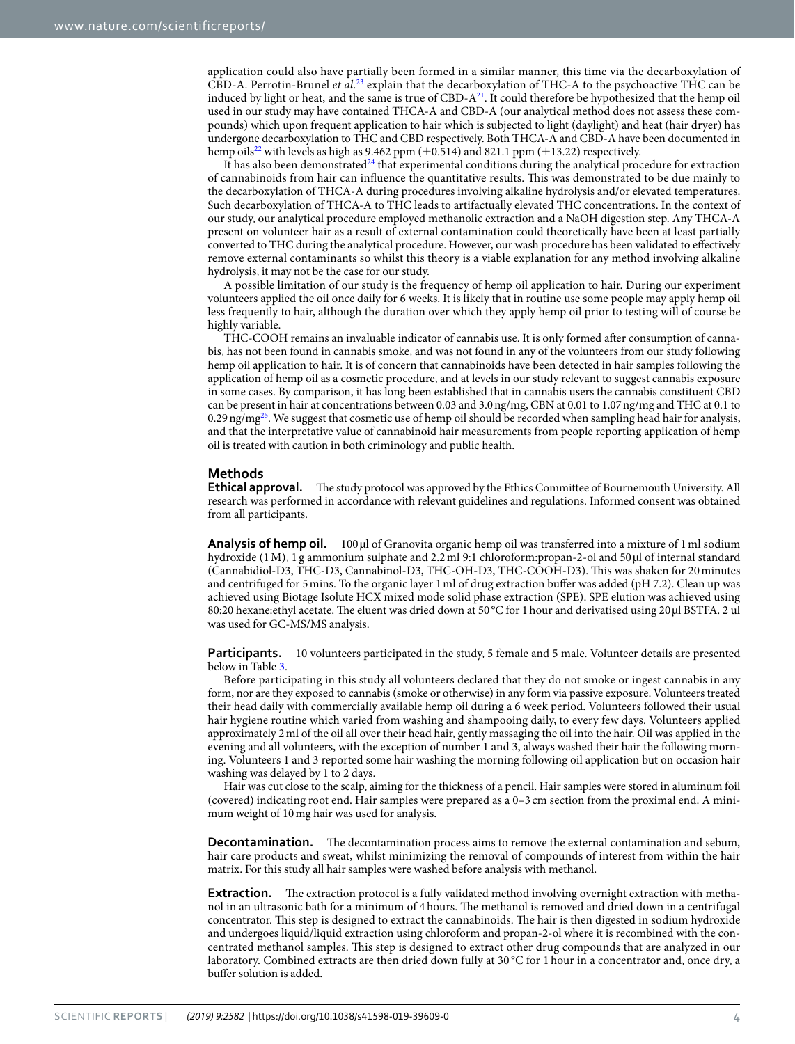application could also have partially been formed in a similar manner, this time via the decarboxylation of CBD-A. Perrotin-Brunel *et al*. [23](#page-5-20) explain that the decarboxylation of THC-A to the psychoactive THC can be induced by light or heat, and the same is true of  $CBD-A<sup>21</sup>$ . It could therefore be hypothesized that the hemp oil used in our study may have contained THCA-A and CBD-A (our analytical method does not assess these compounds) which upon frequent application to hair which is subjected to light (daylight) and heat (hair dryer) has undergone decarboxylation to THC and CBD respectively. Both THCA-A and CBD-A have been documented in hemp oils<sup>22</sup> with levels as high as 9.462 ppm ( $\pm$ 0.514) and 821.1 ppm ( $\pm$ 13.22) respectively.

It has also been demonstrated<sup>24</sup> that experimental conditions during the analytical procedure for extraction of cannabinoids from hair can infuence the quantitative results. Tis was demonstrated to be due mainly to the decarboxylation of THCA‐A during procedures involving alkaline hydrolysis and/or elevated temperatures. Such decarboxylation of THCA-A to THC leads to artifactually elevated THC concentrations. In the context of our study, our analytical procedure employed methanolic extraction and a NaOH digestion step. Any THCA-A present on volunteer hair as a result of external contamination could theoretically have been at least partially converted to THC during the analytical procedure. However, our wash procedure has been validated to efectively remove external contaminants so whilst this theory is a viable explanation for any method involving alkaline hydrolysis, it may not be the case for our study.

A possible limitation of our study is the frequency of hemp oil application to hair. During our experiment volunteers applied the oil once daily for 6 weeks. It is likely that in routine use some people may apply hemp oil less frequently to hair, although the duration over which they apply hemp oil prior to testing will of course be highly variable.

THC-COOH remains an invaluable indicator of cannabis use. It is only formed afer consumption of cannabis, has not been found in cannabis smoke, and was not found in any of the volunteers from our study following hemp oil application to hair. It is of concern that cannabinoids have been detected in hair samples following the application of hemp oil as a cosmetic procedure, and at levels in our study relevant to suggest cannabis exposure in some cases. By comparison, it has long been established that in cannabis users the cannabis constituent CBD can be present in hair at concentrations between 0.03 and 3.0ng/mg, CBN at 0.01 to 1.07ng/mg and THC at 0.1 to 0.29 ng/mg<sup>25</sup>. We suggest that cosmetic use of hemp oil should be recorded when sampling head hair for analysis, and that the interpretative value of cannabinoid hair measurements from people reporting application of hemp oil is treated with caution in both criminology and public health.

### **Methods**

Ethical approval. The study protocol was approved by the Ethics Committee of Bournemouth University. All research was performed in accordance with relevant guidelines and regulations. Informed consent was obtained from all participants.

**Analysis of hemp oil.** 100 µl of Granovita organic hemp oil was transferred into a mixture of 1 ml sodium hydroxide (1 M), 1 g ammonium sulphate and 2.2 ml 9:1 chloroform:propan-2-ol and 50 µl of internal standard (Cannabidiol-D3, THC-D3, Cannabinol-D3, THC-OH-D3, THC-COOH-D3). Tis was shaken for 20minutes and centrifuged for 5mins. To the organic layer 1ml of drug extraction bufer was added (pH 7.2). Clean up was achieved using Biotage Isolute HCX mixed mode solid phase extraction (SPE). SPE elution was achieved using 80:20 hexane:ethyl acetate. The eluent was dried down at 50 °C for 1 hour and derivatised using 20 µl BSTFA. 2 ul was used for GC-MS/MS analysis.

**Participants.** 10 volunteers participated in the study, 5 female and 5 male. Volunteer details are presented below in Table [3](#page-4-2).

Before participating in this study all volunteers declared that they do not smoke or ingest cannabis in any form, nor are they exposed to cannabis (smoke or otherwise) in any form via passive exposure. Volunteers treated their head daily with commercially available hemp oil during a 6 week period. Volunteers followed their usual hair hygiene routine which varied from washing and shampooing daily, to every few days. Volunteers applied approximately 2ml of the oil all over their head hair, gently massaging the oil into the hair. Oil was applied in the evening and all volunteers, with the exception of number 1 and 3, always washed their hair the following morning. Volunteers 1 and 3 reported some hair washing the morning following oil application but on occasion hair washing was delayed by 1 to 2 days.

Hair was cut close to the scalp, aiming for the thickness of a pencil. Hair samples were stored in aluminum foil (covered) indicating root end. Hair samples were prepared as a 0–3 cm section from the proximal end. A minimum weight of 10mg hair was used for analysis.

**Decontamination.** The decontamination process aims to remove the external contamination and sebum, hair care products and sweat, whilst minimizing the removal of compounds of interest from within the hair matrix. For this study all hair samples were washed before analysis with methanol.

**Extraction.** The extraction protocol is a fully validated method involving overnight extraction with methanol in an ultrasonic bath for a minimum of 4 hours. The methanol is removed and dried down in a centrifugal concentrator. This step is designed to extract the cannabinoids. The hair is then digested in sodium hydroxide and undergoes liquid/liquid extraction using chloroform and propan-2-ol where it is recombined with the concentrated methanol samples. Tis step is designed to extract other drug compounds that are analyzed in our laboratory. Combined extracts are then dried down fully at 30 °C for 1 hour in a concentrator and, once dry, a bufer solution is added.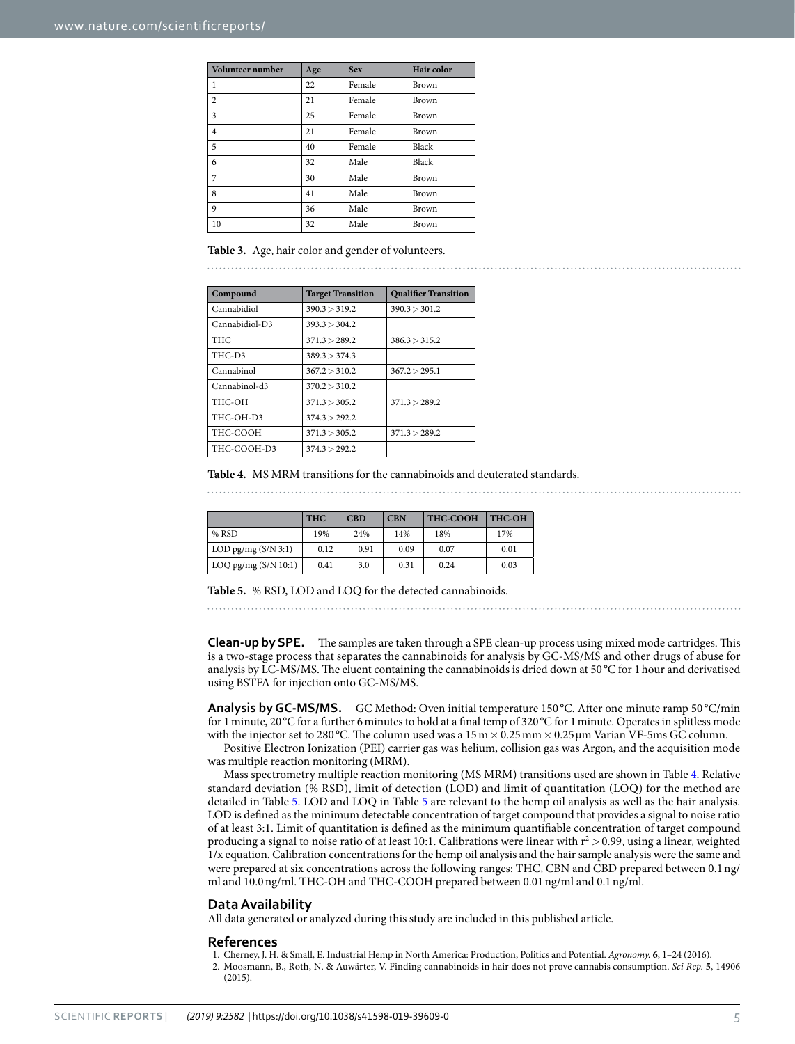<span id="page-4-2"></span>

| Volunteer number | Age | <b>Sex</b> | Hair color |
|------------------|-----|------------|------------|
| 1                | 22  | Female     | Brown      |
| $\overline{c}$   | 21  | Female     | Brown      |
| 3                | 25  | Female     | Brown      |
| $\overline{4}$   | 21  | Female     | Brown      |
| 5                | 40  | Female     | Black      |
| 6                | 32  | Male       | Black      |
| 7                | 30  | Male       | Brown      |
| 8                | 41  | Male       | Brown      |
| 9                | 36  | Male       | Brown      |
| 10               | 32  | Male       | Brown      |

**Table 3.** Age, hair color and gender of volunteers.

<span id="page-4-3"></span>

| Compound       | <b>Target Transition</b> | <b>Qualifier Transition</b> |  |  |
|----------------|--------------------------|-----------------------------|--|--|
| Cannabidiol    | 390.3 > 319.2            | 390.3 > 301.2               |  |  |
| Cannabidiol-D3 | 393.3 > 304.2            |                             |  |  |
| <b>THC</b>     | 371.3 > 289.2            | 386.3 > 315.2               |  |  |
| THC-D3         | 389.3 > 374.3            |                             |  |  |
| Cannabinol     | 367.2 > 310.2            | 367.2 > 295.1               |  |  |
| Cannabinol-d3  | 370.2 > 310.2            |                             |  |  |
| THC-OH         | 371.3 > 305.2            | 371.3 > 289.2               |  |  |
| THC-OH-D3      | 374.3 > 292.2            |                             |  |  |
| THC-COOH       | 371.3 > 305.2            | 371.3 > 289.2               |  |  |
| THC-COOH-D3    | 374.3 > 292.2            |                             |  |  |

**Table 4.** MS MRM transitions for the cannabinoids and deuterated standards.

<span id="page-4-4"></span>

|                        | <b>THC</b> | <b>CBD</b> | <b>CBN</b> | <b>THC-COOH</b> | THC-OH |
|------------------------|------------|------------|------------|-----------------|--------|
| $%$ RSD                | 19%        | 24%        | 14%        | 18%             | 17%    |
| LOD pg/mg $(S/N 3:1)$  | 0.12       | 0.91       | 0.09       | 0.07            | 0.01   |
| LOQ pg/mg $(S/N 10:1)$ | 0.41       | 3.0        | 0.31       | 0.24            | 0.03   |

**Table 5.** % RSD, LOD and LOQ for the detected cannabinoids.

**Clean-up by SPE.** The samples are taken through a SPE clean-up process using mixed mode cartridges. This is a two-stage process that separates the cannabinoids for analysis by GC-MS/MS and other drugs of abuse for analysis by LC-MS/MS. The eluent containing the cannabinoids is dried down at 50 °C for 1 hour and derivatised using BSTFA for injection onto GC-MS/MS.

Analysis by GC-MS/MS. GC Method: Oven initial temperature 150°C. After one minute ramp 50°C/min for 1 minute, 20 °C for a further 6 minutes to hold at a final temp of 320 °C for 1 minute. Operates in splitless mode with the injector set to 280 °C. The column used was a  $15 \text{ m} \times 0.25 \text{ mm} \times 0.25 \text{ µm}$  Varian VF-5ms GC column.

Positive Electron Ionization (PEI) carrier gas was helium, collision gas was Argon, and the acquisition mode was multiple reaction monitoring (MRM).

Mass spectrometry multiple reaction monitoring (MS MRM) transitions used are shown in Table [4.](#page-4-3) Relative standard deviation (% RSD), limit of detection (LOD) and limit of quantitation (LOQ) for the method are detailed in Table [5](#page-4-4). LOD and LOQ in Table [5](#page-4-4) are relevant to the hemp oil analysis as well as the hair analysis. LOD is defned as the minimum detectable concentration of target compound that provides a signal to noise ratio of at least 3:1. Limit of quantitation is defned as the minimum quantifable concentration of target compound producing a signal to noise ratio of at least 10:1. Calibrations were linear with  $r^2 > 0.99$ , using a linear, weighted 1/x equation. Calibration concentrations for the hemp oil analysis and the hair sample analysis were the same and were prepared at six concentrations across the following ranges: THC, CBN and CBD prepared between 0.1ng/ ml and 10.0ng/ml. THC-OH and THC-COOH prepared between 0.01ng/ml and 0.1ng/ml.

#### **Data Availability**

All data generated or analyzed during this study are included in this published article.

#### **References**

- <span id="page-4-0"></span>1. Cherney, J. H. & Small, E. Industrial Hemp in North America: Production, Politics and Potential. *Agronomy.* **6**, 1–24 (2016).
- <span id="page-4-1"></span>2. Moosmann, B., Roth, N. & Auwärter, V. Finding cannabinoids in hair does not prove cannabis consumption. *Sci Rep.* **5**, 14906 (2015).